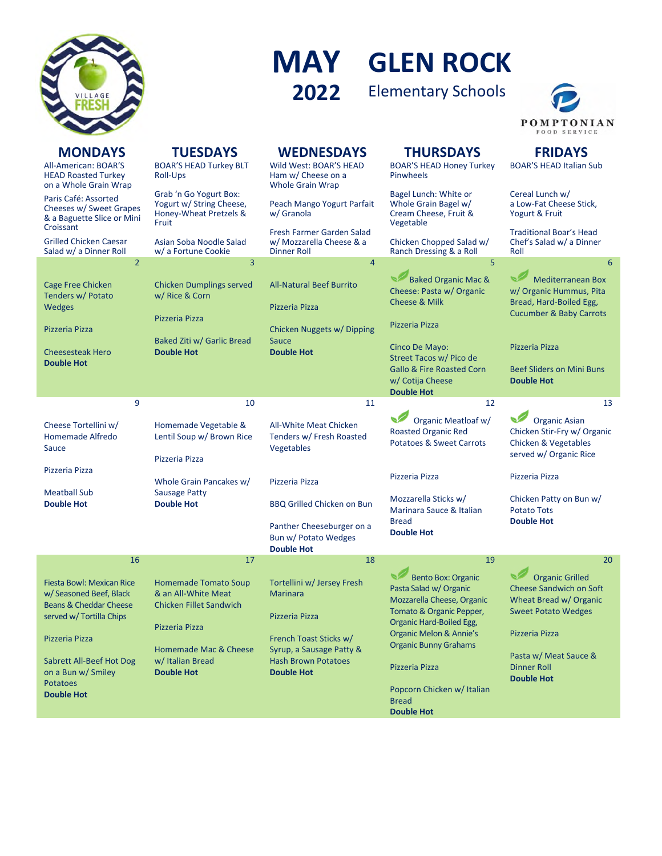

## **GLEN ROCK MAY** Elementary Schools **2022**



| <b>MONDAYS</b><br>All-American: BOAR'S<br><b>HEAD Roasted Turkey</b><br>on a Whole Grain Wrap                               | <b>TUESDAYS</b><br><b>BOAR'S HEAD Turkey BLT</b><br>Roll-Ups                                           | <b>WEDNESDAYS</b><br>Wild West: BOAR'S HEAD<br>Ham w/ Cheese on a<br><b>Whole Grain Wrap</b> | <b>THURSDAYS</b><br><b>BOAR'S HEAD Honey Turkey</b><br><b>Pinwheels</b>                                                                   | <b>FRIDAYS</b><br><b>BOAR'S HEAD Italian Sub</b>                                                                     |
|-----------------------------------------------------------------------------------------------------------------------------|--------------------------------------------------------------------------------------------------------|----------------------------------------------------------------------------------------------|-------------------------------------------------------------------------------------------------------------------------------------------|----------------------------------------------------------------------------------------------------------------------|
| Paris Café: Assorted<br>Cheeses w/ Sweet Grapes<br>& a Baguette Slice or Mini                                               | Grab 'n Go Yogurt Box:<br>Yogurt w/ String Cheese,<br>Honey-Wheat Pretzels &<br>Fruit                  | Peach Mango Yogurt Parfait<br>w/ Granola                                                     | Bagel Lunch: White or<br>Whole Grain Bagel w/<br>Cream Cheese, Fruit &<br>Vegetable                                                       | Cereal Lunch w/<br>a Low-Fat Cheese Stick,<br>Yogurt & Fruit                                                         |
| Croissant<br><b>Grilled Chicken Caesar</b><br>Salad w/ a Dinner Roll                                                        | Asian Soba Noodle Salad<br>w/a Fortune Cookie                                                          | Fresh Farmer Garden Salad<br>w/ Mozzarella Cheese & a<br><b>Dinner Roll</b>                  | Chicken Chopped Salad w/<br>Ranch Dressing & a Roll                                                                                       | <b>Traditional Boar's Head</b><br>Chef's Salad w/ a Dinner<br>Roll                                                   |
| $\overline{2}$                                                                                                              | 3                                                                                                      | $\overline{4}$                                                                               | 5                                                                                                                                         | 6                                                                                                                    |
| <b>Cage Free Chicken</b><br>Tenders w/ Potato<br><b>Wedges</b>                                                              | <b>Chicken Dumplings served</b><br>w/ Rice & Corn<br>Pizzeria Pizza                                    | <b>All-Natural Beef Burrito</b><br>Pizzeria Pizza                                            | <b>Baked Organic Mac &amp;</b><br>Cheese: Pasta w/ Organic<br><b>Cheese &amp; Milk</b>                                                    | <b>Mediterranean Box</b><br>w/ Organic Hummus, Pita<br>Bread, Hard-Boiled Egg,<br><b>Cucumber &amp; Baby Carrots</b> |
| Pizzeria Pizza                                                                                                              |                                                                                                        | Chicken Nuggets w/ Dipping                                                                   | Pizzeria Pizza                                                                                                                            |                                                                                                                      |
| <b>Cheesesteak Hero</b><br><b>Double Hot</b>                                                                                | Baked Ziti w/ Garlic Bread<br><b>Double Hot</b>                                                        | <b>Sauce</b><br><b>Double Hot</b>                                                            | Cinco De Mayo:<br>Street Tacos w/ Pico de                                                                                                 | Pizzeria Pizza                                                                                                       |
|                                                                                                                             |                                                                                                        |                                                                                              | <b>Gallo &amp; Fire Roasted Corn</b><br>w/ Cotija Cheese<br><b>Double Hot</b>                                                             | <b>Beef Sliders on Mini Buns</b><br><b>Double Hot</b>                                                                |
| 9                                                                                                                           | 10                                                                                                     | 11                                                                                           | 12                                                                                                                                        | 13                                                                                                                   |
| Cheese Tortellini w/<br>Homemade Alfredo<br>Sauce                                                                           | Homemade Vegetable &<br>Lentil Soup w/ Brown Rice<br>Pizzeria Pizza                                    | All-White Meat Chicken<br>Tenders w/ Fresh Roasted<br>Vegetables                             | Organic Meatloaf w/<br><b>Roasted Organic Red</b><br><b>Potatoes &amp; Sweet Carrots</b>                                                  | <b>Organic Asian</b><br>Chicken Stir-Fry w/ Organic<br>Chicken & Vegetables<br>served w/ Organic Rice                |
| Pizzeria Pizza                                                                                                              | Whole Grain Pancakes w/                                                                                | Pizzeria Pizza                                                                               | Pizzeria Pizza                                                                                                                            | Pizzeria Pizza                                                                                                       |
| <b>Meatball Sub</b><br><b>Double Hot</b>                                                                                    | <b>Sausage Patty</b><br><b>Double Hot</b>                                                              | <b>BBQ Grilled Chicken on Bun</b>                                                            | Mozzarella Sticks w/                                                                                                                      | Chicken Patty on Bun w/                                                                                              |
|                                                                                                                             |                                                                                                        | Panther Cheeseburger on a<br>Bun w/ Potato Wedges<br><b>Double Hot</b>                       | Marinara Sauce & Italian<br><b>Bread</b><br><b>Double Hot</b>                                                                             | <b>Potato Tots</b><br><b>Double Hot</b>                                                                              |
| 16                                                                                                                          | 17                                                                                                     | 18                                                                                           | 19                                                                                                                                        | 20                                                                                                                   |
| <b>Fiesta Bowl: Mexican Rice</b><br>w/Seasoned Beef, Black<br><b>Beans &amp; Cheddar Cheese</b><br>served w/ Tortilla Chips | <b>Homemade Tomato Soup</b><br>& an All-White Meat<br><b>Chicken Fillet Sandwich</b><br>Pizzeria Pizza | Tortellini w/ Jersey Fresh<br><b>Marinara</b><br>Pizzeria Pizza                              | <b>Bento Box: Organic</b><br>Pasta Salad w/ Organic<br>Mozzarella Cheese, Organic<br>Tomato & Organic Pepper,<br>Organic Hard-Boiled Egg, | <b>Organic Grilled</b><br><b>Cheese Sandwich on Soft</b><br>Wheat Bread w/ Organic<br><b>Sweet Potato Wedges</b>     |
| Pizzeria Pizza                                                                                                              |                                                                                                        | French Toast Sticks w/                                                                       | Organic Melon & Annie's<br><b>Organic Bunny Grahams</b>                                                                                   | Pizzeria Pizza                                                                                                       |
| <b>Sabrett All-Beef Hot Dog</b><br>on a Bun w/ Smiley<br><b>Potatoes</b>                                                    | Homemade Mac & Cheese<br>w/ Italian Bread<br><b>Double Hot</b>                                         | Syrup, a Sausage Patty &<br><b>Hash Brown Potatoes</b><br><b>Double Hot</b>                  | Pizzeria Pizza                                                                                                                            | Pasta w/ Meat Sauce &<br><b>Dinner Roll</b><br><b>Double Hot</b>                                                     |
| <b>Double Hot</b>                                                                                                           |                                                                                                        |                                                                                              | Popcorn Chicken w/ Italian<br><b>Bread</b><br><b>Double Hot</b>                                                                           |                                                                                                                      |